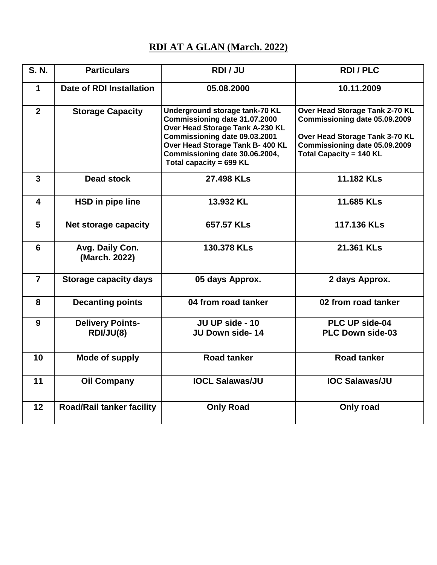## **RDI AT A GLAN (March. 2022)**

| <b>S. N.</b>            | <b>Particulars</b>                   | RDI/JU                                                                                                                                                                                                                               | <b>RDI/PLC</b>                                                                                                                                                       |
|-------------------------|--------------------------------------|--------------------------------------------------------------------------------------------------------------------------------------------------------------------------------------------------------------------------------------|----------------------------------------------------------------------------------------------------------------------------------------------------------------------|
| 1                       | Date of RDI Installation             | 05.08.2000                                                                                                                                                                                                                           | 10.11.2009                                                                                                                                                           |
| $\mathbf{2}$            | <b>Storage Capacity</b>              | Underground storage tank-70 KL<br>Commissioning date 31.07.2000<br>Over Head Storage Tank A-230 KL<br>Commissioning date 09.03.2001<br>Over Head Storage Tank B- 400 KL<br>Commissioning date 30.06.2004,<br>Total capacity = 699 KL | Over Head Storage Tank 2-70 KL<br>Commissioning date 05.09.2009<br>Over Head Storage Tank 3-70 KL<br>Commissioning date 05.09.2009<br><b>Total Capacity = 140 KL</b> |
| $\overline{3}$          | <b>Dead stock</b>                    | 27.498 KLs                                                                                                                                                                                                                           | 11.182 KLs                                                                                                                                                           |
| $\overline{\mathbf{4}}$ | <b>HSD</b> in pipe line              | 13.932 KL                                                                                                                                                                                                                            | 11.685 KLs                                                                                                                                                           |
| 5                       | Net storage capacity                 | 657.57 KLs                                                                                                                                                                                                                           | 117.136 KLs                                                                                                                                                          |
| 6                       | Avg. Daily Con.<br>(March. 2022)     | 130.378 KLs                                                                                                                                                                                                                          | 21.361 KLs                                                                                                                                                           |
| $\overline{7}$          | <b>Storage capacity days</b>         | 05 days Approx.                                                                                                                                                                                                                      | 2 days Approx.                                                                                                                                                       |
| 8                       | <b>Decanting points</b>              | 04 from road tanker                                                                                                                                                                                                                  | 02 from road tanker                                                                                                                                                  |
| 9                       | <b>Delivery Points-</b><br>RDI/JU(8) | JU UP side - 10<br><b>JU Down side-14</b>                                                                                                                                                                                            | PLC UP side-04<br><b>PLC Down side-03</b>                                                                                                                            |
| 10                      | Mode of supply                       | <b>Road tanker</b>                                                                                                                                                                                                                   | <b>Road tanker</b>                                                                                                                                                   |
| 11                      | <b>Oil Company</b>                   | <b>IOCL Salawas/JU</b>                                                                                                                                                                                                               | <b>IOC Salawas/JU</b>                                                                                                                                                |
| 12                      | <b>Road/Rail tanker facility</b>     | <b>Only Road</b>                                                                                                                                                                                                                     | Only road                                                                                                                                                            |